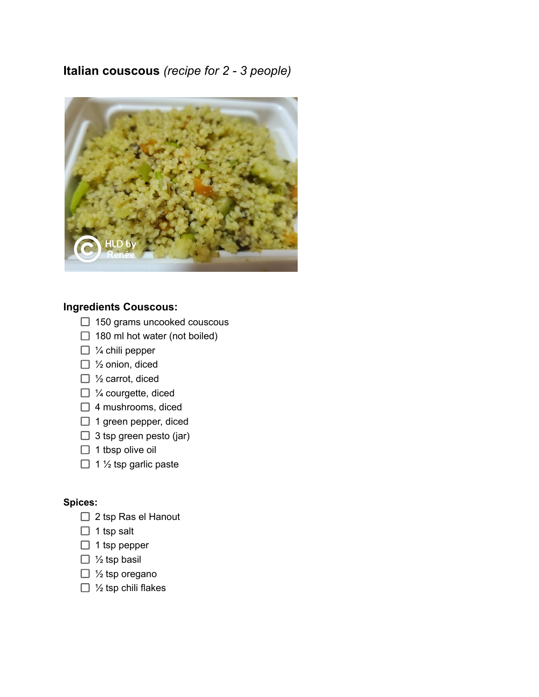## **Italian couscous** *(recipe for 2 - 3 people)*



## **Ingredients Couscous:**

- $\Box$  150 grams uncooked couscous
- $\Box$  180 ml hot water (not boiled)
- $\Box$  % chili pepper
- □ ½ onion, diced
- □ ½ carrot, diced
- $\Box$  % courgette, diced
- $\Box$  4 mushrooms, diced
- $\Box$  1 green pepper, diced
- $\Box$  3 tsp green pesto (jar)
- $\Box$  1 tbsp olive oil
- $\Box$  1 1/<sub>2</sub> tsp garlic paste

## **Spices:**

- $\Box$  2 tsp Ras el Hanout
- $\Box$  1 tsp salt
- $\Box$  1 tsp pepper
- $\Box$  1/<sub>2</sub> tsp basil
- $\Box$  1/<sub>2</sub> tsp oregano
- $\Box$  1/<sub>2</sub> tsp chili flakes